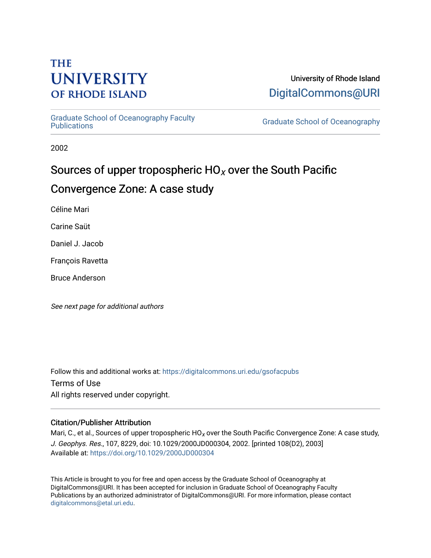# **THE UNIVERSITY OF RHODE ISLAND**

# University of Rhode Island [DigitalCommons@URI](https://digitalcommons.uri.edu/)

[Graduate School of Oceanography Faculty](https://digitalcommons.uri.edu/gsofacpubs) 

**Graduate School of Oceanography** 

2002

# Sources of upper tropospheric  $HO_X$  over the South Pacific Convergence Zone: A case study

Céline Mari

Carine Saüt

Daniel J. Jacob

François Ravetta

Bruce Anderson

See next page for additional authors

Follow this and additional works at: [https://digitalcommons.uri.edu/gsofacpubs](https://digitalcommons.uri.edu/gsofacpubs?utm_source=digitalcommons.uri.edu%2Fgsofacpubs%2F384&utm_medium=PDF&utm_campaign=PDFCoverPages)  Terms of Use All rights reserved under copyright.

### Citation/Publisher Attribution

Mari, C., et al., Sources of upper tropospheric  $HO_X$  over the South Pacific Convergence Zone: A case study, J. Geophys. Res., 107, 8229, doi: 10.1029/2000JD000304, 2002. [printed 108(D2), 2003] Available at:<https://doi.org/10.1029/2000JD000304>

This Article is brought to you for free and open access by the Graduate School of Oceanography at DigitalCommons@URI. It has been accepted for inclusion in Graduate School of Oceanography Faculty Publications by an authorized administrator of DigitalCommons@URI. For more information, please contact [digitalcommons@etal.uri.edu](mailto:digitalcommons@etal.uri.edu).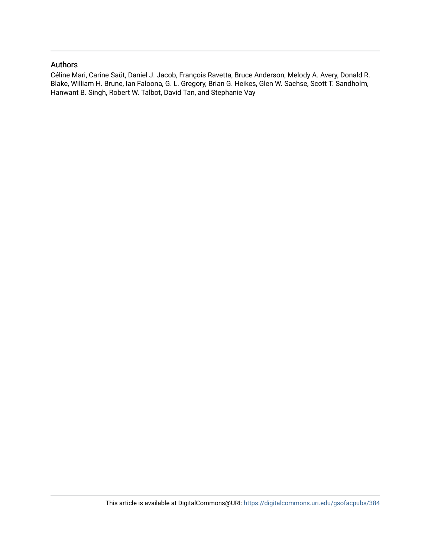### Authors

Céline Mari, Carine Saüt, Daniel J. Jacob, François Ravetta, Bruce Anderson, Melody A. Avery, Donald R. Blake, William H. Brune, Ian Faloona, G. L. Gregory, Brian G. Heikes, Glen W. Sachse, Scott T. Sandholm, Hanwant B. Singh, Robert W. Talbot, David Tan, and Stephanie Vay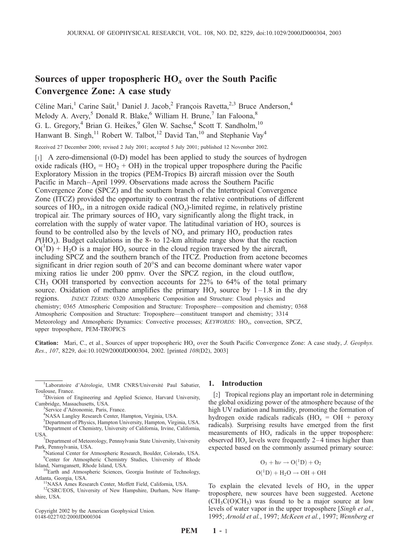## Sources of upper tropospheric  $HO_x$  over the South Pacific Convergence Zone: A case study

Céline Mari,<sup>1</sup> Carine Saüt,<sup>1</sup> Daniel J. Jacob,<sup>2</sup> François Ravetta,<sup>2,3</sup> Bruce Anderson,<sup>4</sup> Melody A. Avery,<sup>5</sup> Donald R. Blake,<sup>6</sup> William H. Brune,<sup>7</sup> Ian Faloona,<sup>8</sup> G. L. Gregory,<sup>4</sup> Brian G. Heikes,<sup>9</sup> Glen W. Sachse,<sup>4</sup> Scott T. Sandholm,<sup>10</sup> Hanwant B. Singh,<sup>11</sup> Robert W. Talbot,<sup>12</sup> David Tan,<sup>10</sup> and Stephanie Vay<sup>4</sup>

Received 27 December 2000; revised 2 July 2001; accepted 5 July 2001; published 12 November 2002.

[1] A zero-dimensional (0-D) model has been applied to study the sources of hydrogen oxide radicals  $(HO_x = HO_2 + OH)$  in the tropical upper troposphere during the Pacific Exploratory Mission in the tropics (PEM-Tropics B) aircraft mission over the South Pacific in March–April 1999. Observations made across the Southern Pacific Convergence Zone (SPCZ) and the southern branch of the Intertropical Convergence Zone (ITCZ) provided the opportunity to contrast the relative contributions of different sources of  $HO_x$ , in a nitrogen oxide radical  $(NO_x)$ -limited regime, in relatively pristine tropical air. The primary sources of  $HO_x$  vary significantly along the flight track, in correlation with the supply of water vapor. The latitudinal variation of  $HO_x$  sources is found to be controlled also by the levels of  $NO<sub>x</sub>$  and primary  $HO<sub>x</sub>$  production rates  $P(HO<sub>x</sub>)$ . Budget calculations in the 8- to 12-km altitude range show that the reaction  $O(^1D)$  + H<sub>2</sub>O is a major HO<sub>x</sub> source in the cloud region traversed by the aircraft, including SPCZ and the southern branch of the ITCZ. Production from acetone becomes significant in drier region south of 20°S and can become dominant where water vapor mixing ratios lie under 200 ppmv. Over the SPCZ region, in the cloud outflow,  $CH<sub>3</sub>$  OOH transported by convection accounts for 22% to 64% of the total primary source. Oxidation of methane amplifies the primary  $HO_x$  source by 1–1.8 in the dry regions. INDEX TERMS: 0320 Atmospheric Composition and Structure: Cloud physics and chemistry; 0365 Atmospheric Composition and Structure: Troposphere—composition and chemistry; 0368 Atmospheric Composition and Structure: Troposphere—constituent transport and chemistry; 3314 Meteorology and Atmospheric Dynamics: Convective processes; KEYWORDS: HO<sub>x</sub>, convection, SPCZ, upper troposphere, PEM-TROPICS

Citation: Mari, C., et al., Sources of upper tropospheric  $HO_x$  over the South Pacific Convergence Zone: A case study, J. Geophys. Res., 107, 8229, doi:10.1029/2000JD000304, 2002. [printed 108(D2), 2003]

- National Center for Atmospheric Research, Boulder, Colorado, USA. <sup>9</sup>Center for Atmospheric Chemistry Studies, University of Rhode
- Island, Narragansett, Rhode Island, USA. <sup>10</sup>Earth and Atmospheric Sciences, Georgia Institute of Technology, Atlanta, Georgia, USA.

Copyright 2002 by the American Geophysical Union. 0148-0227/02/2000JD000304

#### 1. Introduction

[2] Tropical regions play an important role in determining the global oxidizing power of the atmosphere because of the high UV radiation and humidity, promoting the formation of hydrogen oxide radicals radicals  $(HO_x = OH + \text{peroxy})$ radicals). Surprising results have emerged from the first measurements of  $HO_x$  radicals in the upper troposphere: observed  $HO_x$  levels were frequently 2–4 times higher than expected based on the commonly assumed primary source:

$$
\mathrm{O}_3 + h\nu \rightarrow \mathrm{O(^1D)} + \mathrm{O}_2
$$

$$
O(^1D) + H_2O \rightarrow OH + OH
$$

To explain the elevated levels of  $HO_x$  in the upper troposphere, new sources have been suggested. Acetone  $(CH_3C(O)CH_3)$  was found to be a major source at low levels of water vapor in the upper troposphere [Singh et al., 1995; Arnold et al., 1997; McKeen et al., 1997; Wennberg et

<sup>&</sup>lt;sup>1</sup>Laboratoire d'Aérologie, UMR CNRS/Université Paul Sabatier, Toulouse, France. <sup>2</sup>

<sup>&</sup>lt;sup>2</sup>Division of Engineering and Applied Science, Harvard University, Cambridge, Massachusetts, USA. <sup>3</sup>

<sup>&</sup>lt;sup>3</sup>Service d'Aéronomie, Paris, France.

<sup>&</sup>lt;sup>4</sup>NASA Langley Research Center, Hampton, Virginia, USA.

<sup>5</sup> Department of Physics, Hampton University, Hampton, Virginia, USA.

<sup>6</sup> Department of Chemistry, University of California, Irvine, California, USA.

<sup>&</sup>lt;sup>7</sup>Department of Meteorology, Pennsylvania State University, University Park, Pennsylvania, USA. <sup>8</sup>

<sup>&</sup>lt;sup>11</sup>NASA Ames Research Center, Moffett Field, California, USA. <sup>12</sup>CSRC/EOS, University of New Hampshire, Durham, New Hampshire, USA.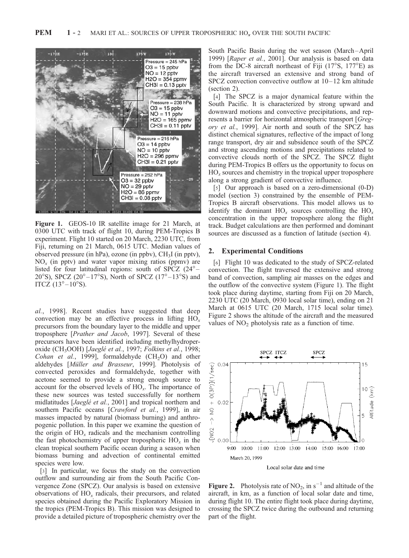

Figure 1. GEOS-10 IR satellite image for 21 March, at 0300 UTC with track of flight 10, during PEM-Tropics B experiment. Flight 10 started on 20 March, 2230 UTC, from Fiji, returning on 21 March, 0615 UTC. Median values of observed pressure (in hPa), ozone (in ppbv), CH3I (in pptv),  $NO<sub>x</sub>$  (in pptv) and water vapor mixing ratios (ppmv) are listed for four latitudinal regions: south of SPCZ  $(24^{\circ} -$ 20°S), SPCZ (20°–17°S), North of SPCZ (17°–13°S) and ITCZ  $(13^{\circ} - 10^{\circ}S)$ .

al., 1998]. Recent studies have suggested that deep convection may be an effective process in lifting  $HO_x$ precursors from the boundary layer to the middle and upper troposphere [Prather and Jacob, 1997]. Several of these precursors have been identified including methylhydroperoxide (CH<sub>3</sub>OOH) [Jaeglé et al., 1997; Folkins et al., 1998; Cohan et al., 1999], formaldehyde  $(CH_2O)$  and other aldehydes [Müller and Brasseur, 1999]. Photolysis of convected peroxides and formaldehyde, together with acetone seemed to provide a strong enough source to account for the observed levels of  $HO<sub>x</sub>$ . The importance of these new sources was tested successfully for northern midlatitudes [Jaeglé et al., 2001] and tropical northern and southern Pacific oceans [Crawford et al., 1999], in air masses impacted by natural (biomass burning) and anthropogenic pollution. In this paper we examine the question of the origin of  $HO_x$  radicals and the mechanism controlling the fast photochemistry of upper tropospheric  $HO_x$  in the clean tropical southern Pacific ocean during a season when biomass burning and advection of continental emitted species were low.

[3] In particular, we focus the study on the convection outflow and surrounding air from the South Pacific Convergence Zone (SPCZ). Our analysis is based on extensive observations of  $HO_x$  radicals, their precursors, and related species obtained during the Pacific Exploratory Mission in the tropics (PEM-Tropics B). This mission was designed to provide a detailed picture of tropospheric chemistry over the

South Pacific Basin during the wet season (March –April 1999) [Raper et al., 2001]. Our analysis is based on data from the DC-8 aircraft northeast of Fiji  $(17^{\circ}S, 177^{\circ}E)$  as the aircraft traversed an extensive and strong band of SPCZ convection convective outflow at  $10-12$  km altitude (section 2).

[4] The SPCZ is a major dynamical feature within the South Pacific. It is characterized by strong upward and downward motions and convective precipitations, and represents a barrier for horizontal atmospheric transport [Gregory et al., 1999]. Air north and south of the SPCZ has distinct chemical signatures, reflective of the impact of long range transport, dry air and subsidence south of the SPCZ and strong ascending motions and precipitations related to convective clouds north of the SPCZ. The SPCZ flight during PEM-Tropics B offers us the opportunity to focus on  $HO<sub>x</sub>$  sources and chemistry in the tropical upper troposphere along a strong gradient of convective influence.

[5] Our approach is based on a zero-dimensional (0-D) model (section 3) constrained by the ensemble of PEM-Tropics B aircraft observations. This model allows us to identify the dominant  $HO_x$  sources controlling the  $HO_x$ concentration in the upper troposphere along the flight track. Budget calculations are then performed and dominant sources are discussed as a function of latitude (section 4).

#### 2. Experimental Conditions

[6] Flight 10 was dedicated to the study of SPCZ-related convection. The flight traversed the extensive and strong band of convection, sampling air masses on the edges and the outflow of the convective system (Figure 1). The flight took place during daytime, starting from Fiji on 20 March, 2230 UTC (20 March, 0930 local solar time), ending on 21 March at 0615 UTC (20 March, 1715 local solar time). Figure 2 shows the altitude of the aircraft and the measured values of  $NO<sub>2</sub>$  photolysis rate as a function of time.



Local solar date and time

**Figure 2.** Photolysis rate of  $NO_2$ , in  $s^{-1}$  and altitude of the aircraft, in km, as a function of local solar date and time, during flight 10. The entire flight took place during daytime, crossing the SPCZ twice during the outbound and returning part of the flight.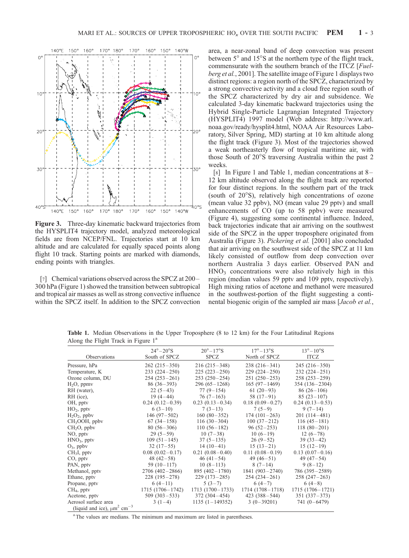

Figure 3. Three-day kinematic backward trajectories from the HYSPLIT4 trajectory model, analyzed meteorological fields are from NCEP/FNL. Trajectories start at 10 km altitude and are calculated for equally spaced points along flight 10 track. Starting points are marked with diamonds, ending points with triangles.

[7] Chemical variations observed across the SPCZ at 200– 300 hPa (Figure 1) showed the transition between subtropical and tropical air masses as well as strong convective influence within the SPCZ itself. In addition to the SPCZ convection

area, a near-zonal band of deep convection was present between  $5^{\circ}$  and  $15^{\circ}$ S at the northern type of the flight track, commensurate with the southern branch of the ITCZ [Fuelberg et al., 2001]. The satellite image of Figure 1 displays two distinct regions: a region north of the SPCZ, characterized by a strong convective activity and a cloud free region south of the SPCZ characterized by dry air and subsidence. We calculated 3-day kinematic backward trajectories using the Hybrid Single-Particle Lagrangian Integrated Trajectory (HYSPLIT4) 1997 model (Web address: http://www.arl. noaa.gov/ready/hysplit4.html, NOAA Air Resources Laboratory, Silver Spring, MD) starting at 10 km altitude along the flight track (Figure 3). Most of the trajectories showed a weak northeasterly flow of tropical maritime air, with those South of 20°S traversing Australia within the past 2 weeks.

[8] In Figure 1 and Table 1, median concentrations at 8 – 12 km altitude observed along the flight track are reported for four distinct regions. In the southern part of the track (south of  $20^{\circ}$ S), relatively high concentrations of ozone (mean value 32 ppbv), NO (mean value 29 pptv) and small enhancements of CO (up to 58 ppbv) were measured (Figure 4), suggesting some continental influence. Indeed, back trajectories indicate that air arriving on the southwest side of the SPCZ in the upper troposphere originated from Australia (Figure 3). Pickering et al. [2001] also concluded that air arriving on the southwest side of the SPCZ at 11 km likely consisted of outflow from deep convection over northern Australia 3 days earlier. Observed PAN and  $HNO<sub>3</sub>$  concentrations were also relatively high in this region (median values 59 pptv and 109 pptv, respectively). High mixing ratios of acetone and methanol were measured in the southwest-portion of the flight suggesting a continental biogenic origin of the sampled air mass [Jacob et al.,

| $\tilde{}$<br>$\tilde{}$                                |                                          |                                        |                                          |                                        |
|---------------------------------------------------------|------------------------------------------|----------------------------------------|------------------------------------------|----------------------------------------|
| Observations                                            | $24^\circ - 20^\circ S$<br>South of SPCZ | $20^\circ - 17^\circ$ S<br><b>SPCZ</b> | $17^\circ - 13^\circ$ S<br>North of SPCZ | $13^\circ - 10^\circ$ S<br><b>ITCZ</b> |
| Pressure, hPa                                           | $262(215-350)$                           | $216(215-348)$                         | $238(216-341)$                           | $245(216-350)$                         |
| Temperature, K                                          | $233(224-250)$                           | $225(223-250)$                         | $229(224-250)$                           | $232(224-251)$                         |
| Ozone column, DU                                        | $254(253-261)$                           | $253(250-254)$                         | $251(250-253)$                           | $258(253-259)$                         |
| $H_2O$ , ppmv                                           | $86(36-393)$                             | $296(65 - 1268)$                       | $165(97-1469)$                           | $354(136 - 2304)$                      |
| RH (water),                                             | $22(5-43)$                               | $77(9-154)$                            | $61(20-93)$                              | $86(26-106)$                           |
| RH (ice),                                               | $19(4-44)$                               | $76(7-163)$                            | $58(17-91)$                              | $85(23-107)$                           |
| OH, pptv                                                | $0.24(0.12-0.39)$                        | $0.23(0.13-0.34)$                      | $0.18(0.09-0.27)$                        | $0.24(0.13-0.53)$                      |
| $HO2$ , pptv                                            | $6(3-10)$                                | $7(3-13)$                              | $7(5-9)$                                 | $9(7-14)$                              |
| $H_2O_2$ , ppbv                                         | $146(97-502)$                            | $160(80-352)$                          | $174(101-263)$                           | $201(114-481)$                         |
| $CH3OOH$ , ppbv                                         | $67(34-158)$                             | $116(30-304)$                          | $100(37-212)$                            | $116(45-181)$                          |
| $CH2O$ , ppbv                                           | $80(56-306)$                             | $110(56-182)$                          | $96(52-253)$                             | $118(80-201)$                          |
| NO, pptv                                                | $29(5-59)$                               | $10(7-38)$                             | $10(6-19)$                               | $12(6-78)$                             |
| $HNO3$ , pptv                                           | $109(51-145)$                            | $37(5-135)$                            | $26(9-52)$                               | $39(33-42)$                            |
| $O_3$ , ppbv                                            | $32(17-55)$                              | $14(10-41)$                            | $15(13-21)$                              | $15(12-19)$                            |
| $CH3I$ , pptv                                           | $0.08(0.02-0.17)$                        | $0.21(0.08-0.40)$                      | $0.11(0.08-0.19)$                        | $0.13(0.07-0.16)$                      |
| CO, pptv                                                | 48 $(42-58)$                             | $46(41-54)$                            | 49 $(46-51)$                             | 49 $(47-54)$                           |
| PAN, pptv                                               | 59 $(10-117)$                            | $10(8-113)$                            | $8(7-14)$                                | $9(8-12)$                              |
| Methanol, ppty                                          | $2706(402 - 2866)$                       | $895(402 - 1780)$                      | $1841 (903 - 2740)$                      | 786 (395 – 2589)                       |
| Ethane, pptv                                            | $228(195-278)$                           | $229(173-285)$                         | $254(234-261)$                           | $258(247-263)$                         |
| Propane, pptv                                           | $6(4-11)$                                | $5(3-7)$                               | $6(4-7)$                                 | $6(4-8)$                               |
| $CH4$ , pptv                                            | $1715(1706 - 1742)$                      | $1713(1700-1733)$                      | $1714(1708-1718)$                        | 1715 (1706 – 1721)                     |
| Acetone, pptv                                           | $509(303-533)$                           | 372 (304 – 454)                        | $423(388-544)$                           | $351(337-373)$                         |
| Aerosol surface area                                    | $3(1-4)$                                 | $1135(1-149352)$                       | $3(0-39201)$                             | $741(0-6479)$                          |
| (liquid and ice), $\mu$ m <sup>2</sup> cm <sup>-3</sup> |                                          |                                        |                                          |                                        |

Table 1. Median Observations in the Upper Troposphere (8 to 12 km) for the Four Latitudinal Regions Along the Flight Track in Figure  $1<sup>a</sup>$ 

<sup>a</sup>The values are medians. The minimum and maximum are listed in parentheses.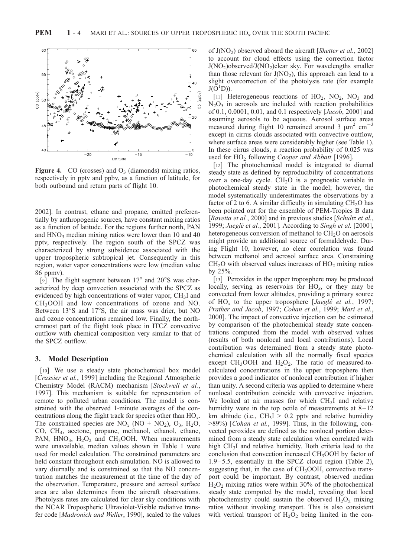

**Figure 4.** CO (crosses) and  $O_3$  (diamonds) mixing ratios, respectively in pptv and ppbv, as a function of latitude, for both outbound and return parts of flight 10.

2002]. In contrast, ethane and propane, emitted preferentially by anthropogenic sources, have constant mixing ratios as a function of latitude. For the regions further north, PAN and  $HNO<sub>3</sub>$  median mixing ratios were lower than 10 and 40 pptv, respectively. The region south of the SPCZ was characterized by strong subsidence associated with the upper tropospheric subtropical jet. Consequently in this region, water vapor concentrations were low (median value 86 ppmv).

[9] The flight segment between  $17^{\circ}$  and  $20^{\circ}$ S was characterized by deep convection associated with the SPCZ as evidenced by high concentrations of water vapor, CH<sub>3</sub>I and CH3OOH and low concentrations of ozone and NO. Between  $13^{\circ}$ S and  $17^{\circ}$ S, the air mass was drier, but NO and ozone concentrations remained low. Finally, the northernmost part of the flight took place in ITCZ convective outflow with chemical composition very similar to that of the SPCZ outflow.

#### 3. Model Description

[10] We use a steady state photochemical box model [Crassier et al., 1999] including the Regional Atmospheric Chemistry Model (RACM) mechanism [Stockwell et al., 1997]. This mechanism is suitable for representation of remote to polluted urban conditions. The model is constrained with the observed 1-minute averages of the concentrations along the flight track for species other than  $HO_x$ . The constrained species are  $NO_x (NO + NO_2)$ ,  $O_3$ ,  $H_2O$ , CO, CH4, acetone, propane, methanol, ethanol, ethane, PAN,  $HNO<sub>3</sub>$ ,  $H<sub>2</sub>O<sub>2</sub>$ , and CH<sub>3</sub>OOH. When measurements were unavailable, median values shown in Table 1 were used for model calculation. The constrained parameters are held constant throughout each simulation. NO is allowed to vary diurnally and is constrained so that the NO concentration matches the measurement at the time of the day of the observation. Temperature, pressure and aerosol surface area are also determines from the aircraft observations. Photolysis rates are calculated for clear sky conditions with the NCAR Tropospheric Ultraviolet-Visible radiative transfer code [Madronich and Weller, 1990], scaled to the values

of  $J(NO<sub>2</sub>)$  observed aboard the aircraft [Shetter et al., 2002] to account for cloud effects using the correction factor  $J(NO<sub>2</sub>)$ observed/ $J(NO<sub>2</sub>)$ clear sky. For wavelengths smaller than those relevant for  $J(NO<sub>2</sub>)$ , this approach can lead to a slight overcorrection of the photolysis rate (for example  $J(\breve{O}^1D)$ ).

[11] Heterogeneous reactions of  $HO_2$ ,  $NO_2$ ,  $NO_3$  and  $N_2O_5$  in aerosols are included with reaction probabilities of 0.1, 0.0001, 0.01, and 0.1 respectively [Jacob, 2000] and assuming aerosols to be aqueous. Aerosol surface areas measured during flight 10 remained around 3  $\mu$ m<sup>2</sup> cm<sup>-3</sup> except in cirrus clouds associated with convective outflow, where surface areas were considerably higher (see Table 1). In these cirrus clouds, a reaction probability of 0.025 was used for  $HO<sub>2</sub>$  following Cooper and Abbatt [1996].

[12] The photochemical model is integrated to diurnal steady state as defined by reproducibility of concentrations over a one-day cycle.  $CH<sub>2</sub>O$  is a prognostic variable in photochemical steady state in the model; however, the model systematically underestimates the observations by a factor of 2 to 6. A similar difficulty in simulating  $CH<sub>2</sub>O$  has been pointed out for the ensemble of PEM-Tropics B data [Ravetta et al., 2000] and in previous studies [Schultz et al., 1999; Jaeglé et al., 2001]. According to Singh et al. [2000], heterogeneous conversion of methanol to  $CH<sub>2</sub>O$  on aerosols might provide an additional source of formaldehyde. During Flight 10, however, no clear correlation was found between methanol and aerosol surface area. Constraining  $CH<sub>2</sub>O$  with observed values increases of  $HO<sub>2</sub>$  mixing ratios by 25%.

[13] Peroxides in the upper troposphere may be produced locally, serving as reservoirs for  $HO_x$ , or they may be convected from lower altitudes, providing a primary source of  $HO_x$  to the upper troposphere [Jaeglé et al., 1997; Prather and Jacob, 1997; Cohan et al., 1999; Mari et al., 2000]. The impact of convective injection can be estimated by comparison of the photochemical steady state concentrations computed from the model with observed values (results of both nonlocal and local contributions). Local contribution was determined from a steady state photochemical calculation with all the normally fixed species except  $CH_3OOH$  and  $H_2O_2$ . The ratio of measured-tocalculated concentrations in the upper troposphere then provides a good indicator of nonlocal contribution if higher than unity. A second criteria was applied to determine where nonlocal contribution coincide with convective injection. We looked at air masses for which CH<sub>3</sub>I and relative humidity were in the top octile of measurements at  $8-12$ km altitude (i.e.,  $CH<sub>3</sub>I > 0.2$  pptv and relative humidity >89%) [Cohan et al., 1999]. Thus, in the following, convected peroxides are defined as the nonlocal portion determined from a steady state calculation when correlated with high CH<sub>3</sub>I and relative humidity. Both criteria lead to the conclusion that convection increased CH<sub>3</sub>OOH by factor of 1.9– 5.5, essentially in the SPCZ cloud region (Table 2), suggesting that, in the case of  $CH<sub>3</sub>OOH$ , convective transport could be important. By contrast, observed median  $H<sub>2</sub>O<sub>2</sub>$  mixing ratios were within 30% of the photochemical steady state computed by the model, revealing that local photochemistry could sustain the observed  $H_2O_2$  mixing ratios without invoking transport. This is also consistent with vertical transport of  $H_2O_2$  being limited in the con-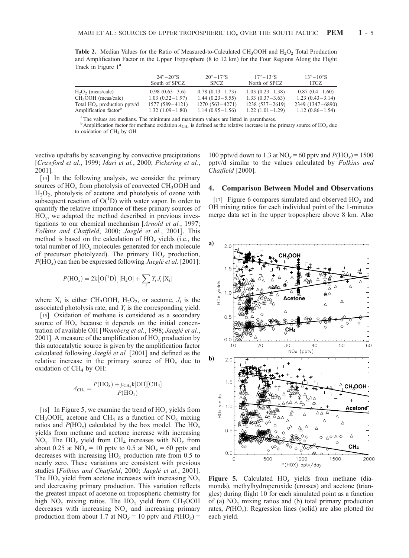**Table 2.** Median Values for the Ratio of Measured-to-Calculated CH<sub>3</sub>OOH and H<sub>2</sub>O<sub>2</sub> Total Production and Amplification Factor in the Upper Troposphere (8 to 12 km) for the Four Regions Along the Flight Track in Figure 1<sup>a</sup>

|                                   | $24^\circ - 20^\circ$ S | $20^{\circ} - 17^{\circ}$ S | $17^{\circ} - 13^{\circ}$ S | $13^{\circ} - 10^{\circ}$ S |
|-----------------------------------|-------------------------|-----------------------------|-----------------------------|-----------------------------|
|                                   | South of SPCZ           | <b>SPCZ</b>                 | North of SPCZ               | <b>ITCZ</b>                 |
| $H_2O_2$ (meas/calc)              | $0.98(0.63-3.6)$        | $0.78(0.13-1.73)$           | $1.03(0.23-1.38)$           | $0.87(0.4-1.60)$            |
| $CH3OOH$ (meas/calc)              | $1.03(0.32-1.97)$       | $1.44(0.23 - 5.55)$         | $1.33(0.37-3.63)$           | $1.23(0.43-3.14)$           |
| Total $HO_x$ production pptv/d    | $1577(589 - 4121)$      | $1270(563 - 4271)$          | $1238(537-2619)$            | 2349 (1347-6890)            |
| Amplification factor <sup>b</sup> | $1.32(1.09-1.80)$       | $1.14(0.95-1.56)$           | $1.22(1.01-1.29)$           | $1.12(0.86 - 1.54)$         |

<sup>a</sup>The values are medians. The minimum and maximum values are listed in parentheses.

 $b$ Amplification factor for methane oxidation  $A_{CH_4}$  is defined as the relative increase in the primary source of HO<sub>x</sub> due to oxidation of CH<sub>4</sub> by OH.

vective updrafts by scavenging by convective precipitations [Crawford et al., 1999; Mari et al., 2000; Pickering et al., 2001].

[14] In the following analysis, we consider the primary sources of  $HO_x$  from photolysis of convected  $CH_3OOH$  and  $H<sub>2</sub>O<sub>2</sub>$ , photolysis of acetone and photolysis of ozone with subsequent reaction of  $O(^1D)$  with water vapor. In order to quantify the relative importance of these primary sources of  $HO<sub>x</sub>$ , we adapted the method described in previous investigations to our chemical mechanism [Arnold et al., 1997; Folkins and Chatfield, 2000; Jaeglé et al., 2001]. This method is based on the calculation of  $HO_x$  yields (i.e., the total number of  $HO_x$  molecules generated for each molecule of precursor photolyzed). The primary  $HO_x$  production,  $P(\text{HO}_x)$  can then be expressed following *Jaeglé et al.* [2001]:

$$
P(\mathrm{HO}_x) = 2k\big[O(^1D)\big][H_2O] + \sum_i Y_i J_i\left[X_i\right]
$$

where  $X_i$  is either CH<sub>3</sub>OOH, H<sub>2</sub>O<sub>2</sub>, or acetone,  $J_i$  is the associated photolysis rate, and  $Y_i$  is the corresponding yield.

[15] Oxidation of methane is considered as a secondary source of  $HO_x$  because it depends on the initial concentration of available OH [Wennberg et al., 1998; Jaeglé et al., 2001]. A measure of the amplification of  $HO_x$  production by this autocatalytic source is given by the amplification factor calculated following *Jaeglé et al.* [2001] and defined as the relative increase in the primary source of  $HO_x$  due to oxidation of CH<sub>4</sub> by OH:

$$
A_{\rm CH_4} = \frac{P(\rm HO_x) + y_{\rm CH_4}k[OH][CH_4]}{P(\rm HO_x)}
$$

[16] In Figure 5, we examine the trend of  $HO_x$  yields from CH<sub>3</sub>OOH, acetone and CH<sub>4</sub> as a function of  $NO<sub>x</sub>$  mixing ratios and  $P(HO_x)$  calculated by the box model. The HO<sub>x</sub> yields from methane and acetone increase with increasing NO<sub>x</sub>. The HO<sub>x</sub> yield from CH<sub>4</sub> increases with NO<sub>x</sub> from about 0.25 at  $NO_x = 10$  pptv to 0.5 at  $NO_x = 60$  pptv and decreases with increasing  $HO_x$  production rate from 0.5 to nearly zero. These variations are consistent with previous studies [Folkins and Chatfield, 2000; Jaeglé et al., 2001]. The HO<sub>x</sub> yield from acetone increases with increasing  $NO<sub>x</sub>$ and decreasing primary production. This variation reflects the greatest impact of acetone on tropospheric chemistry for high  $NO_x$  mixing ratios. The  $HO_x$  yield from  $CH_3OOH$ decreases with increasing  $NO<sub>x</sub>$  and increasing primary production from about 1.7 at  $NO_x = 10$  pptv and  $P(HO_x) =$  100 pptv/d down to 1.3 at  $NO_x = 60$  pptv and  $P(HO_x) = 1500$ pptv/d similar to the values calculated by Folkins and Chatfield [2000].

#### 4. Comparison Between Model and Observations

[17] Figure 6 compares simulated and observed  $HO<sub>2</sub>$  and OH mixing ratios for each individual point of the 1-minutes merge data set in the upper troposphere above 8 km. Also



Figure 5. Calculated  $HO_x$  yields from methane (diamonds), methylhydroperoxide (crosses) and acetone (triangles) during flight 10 for each simulated point as a function of (a)  $NO_x$  mixing ratios and (b) total primary production rates,  $P(\text{HO}_x)$ . Regression lines (solid) are also plotted for each yield.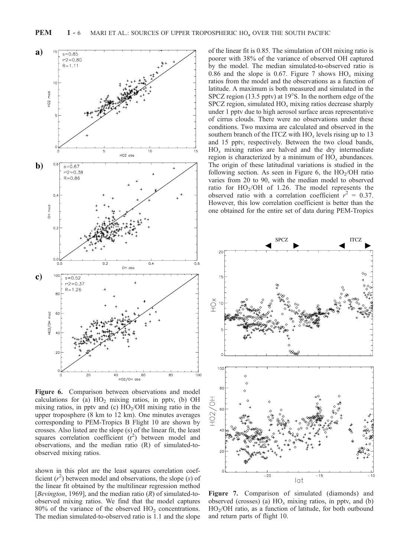

Figure 6. Comparison between observations and model calculations for (a)  $HO<sub>2</sub>$  mixing ratios, in pptv, (b) OH mixing ratios, in pptv and (c)  $HO<sub>2</sub>/OH$  mixing ratio in the upper troposphere (8 km to 12 km). One minutes averages corresponding to PEM-Tropics B Flight 10 are shown by crosses. Also listed are the slope (s) of the linear fit, the least squares correlation coefficient  $(r^2)$  between model and observations, and the median ratio (R) of simulated-toobserved mixing ratios.

shown in this plot are the least squares correlation coefficient  $(r^2)$  between model and observations, the slope (s) of the linear fit obtained by the multilinear regression method [Bevington, 1969], and the median ratio  $(R)$  of simulated-toobserved mixing ratios. We find that the model captures  $80\%$  of the variance of the observed  $HO<sub>2</sub>$  concentrations. The median simulated-to-observed ratio is 1.1 and the slope

of the linear fit is 0.85. The simulation of OH mixing ratio is poorer with 38% of the variance of observed OH captured by the model. The median simulated-to-observed ratio is 0.86 and the slope is 0.67. Figure 7 shows  $HO_x$  mixing ratios from the model and the observations as a function of latitude. A maximum is both measured and simulated in the SPCZ region (13.5 pptv) at  $19^{\circ}$ S. In the northern edge of the SPCZ region, simulated  $HO_x$  mixing ratios decrease sharply under 1 pptv due to high aerosol surface areas representative of cirrus clouds. There were no observations under these conditions. Two maxima are calculated and observed in the southern branch of the ITCZ with  $HO_x$  levels rising up to 13 and 15 pptv, respectively. Between the two cloud bands,  $HO_x$  mixing ratios are halved and the dry intermediate region is characterized by a minimum of  $HO_x$  abundances. The origin of these latitudinal variations is studied in the following section. As seen in Figure 6, the  $HO_2/OH$  ratio varies from 20 to 90, with the median model to observed ratio for  $HO_2/OH$  of 1.26. The model represents the observed ratio with a correlation coefficient  $r^2 = 0.37$ . However, this low correlation coefficient is better than the one obtained for the entire set of data during PEM-Tropics



Figure 7. Comparison of simulated (diamonds) and observed (crosses) (a)  $HO_x$  mixing ratios, in pptv, and (b) HO2/OH ratio, as a function of latitude, for both outbound and return parts of flight 10.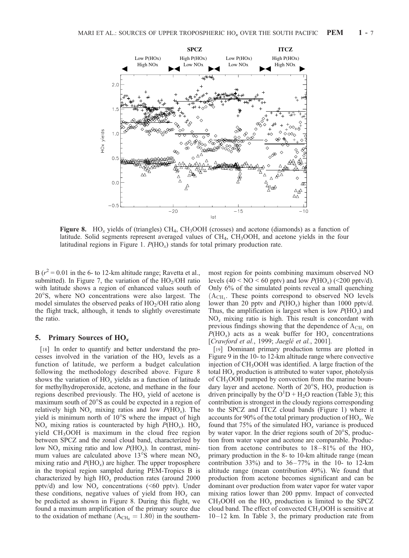

Figure 8. HO<sub>x</sub> yields of (triangles) CH<sub>4</sub>, CH<sub>3</sub>OOH (crosses) and acetone (diamonds) as a function of latitude. Solid segments represent averaged values of CH<sub>4</sub>, CH<sub>3</sub>OOH, and acetone yields in the four latitudinal regions in Figure 1.  $P(HO_x)$  stands for total primary production rate.

B ( $r^2$  = 0.01 in the 6- to 12-km altitude range; Ravetta et al., submitted). In Figure 7, the variation of the  $HO<sub>2</sub>/OH$  ratio with latitude shows a region of enhanced values south of 20°S, where NO concentrations were also largest. The model simulates the observed peaks of  $HO<sub>2</sub>/OH$  ratio along the flight track, although, it tends to slightly overestimate the ratio.

#### 5. Primary Sources of  $HO_x$

[18] In order to quantify and better understand the processes involved in the variation of the  $HO_x$  levels as a function of latitude, we perform a budget calculation following the methodology described above. Figure 8 shows the variation of  $HO<sub>x</sub>$  yields as a function of latitude for methylhydroperoxide, acetone, and methane in the four regions described previously. The  $HO_x$  yield of acetone is maximum south of 20°S as could be expected in a region of relatively high  $NO_x$  mixing ratios and low  $P(HO_x)$ . The yield is minimum north of  $10^{\circ}$ S where the impact of high  $NO_x$  mixing ratios is counteracted by high  $P(HO_x)$ . HO<sub>x</sub> yield  $CH<sub>3</sub>OOH$  is maximum in the cloud free region between SPCZ and the zonal cloud band, characterized by low  $NO<sub>x</sub>$  mixing ratio and low  $P(HO<sub>x</sub>)$ . In contrast, minimum values are calculated above 13 $\textdegree$ S where mean NO<sub>x</sub> mixing ratio and  $P(\text{HO}_x)$  are higher. The upper troposphere in the tropical region sampled during PEM-Tropics B is characterized by high  $HO_x$  production rates (around 2000 pptv/d) and low  $NO_x$  concentrations (<60 pptv). Under these conditions, negative values of yield from  $HO_x$  can be predicted as shown in Figure 8. During this flight, we found a maximum amplification of the primary source due to the oxidation of methane  $(A<sub>CH<sub>4</sub></sub> = 1.80)$  in the southernmost region for points combining maximum observed NO levels  $(40 < NO < 60$  pptv) and low  $P(HO<sub>x</sub>)$  (<200 pptv/d). Only 6% of the simulated points reveal a small quenching  $(A<sub>CH</sub>$ . These points correspond to observed NO levels lower than 20 pptv and  $P(HO_x)$  higher than 1000 pptv/d. Thus, the amplification is largest when is low  $P(\text{HO}_x)$  and  $NO<sub>x</sub>$  mixing ratio is high. This result is concordant with previous findings showing that the dependence of  $A_{\text{CH}_4}$  on  $P(\text{HO}_x)$  acts as a weak buffer for  $\text{HO}_x$  concentrations [Crawford et al., 1999; Jaeglé et al., 2001].

[19] Dominant primary production terms are plotted in Figure 9 in the 10- to 12-km altitude range where convective injection of  $CH<sub>3</sub>OOH$  was identified. A large fraction of the total  $HO<sub>x</sub>$  production is attributed to water vapor, photolysis of CH<sub>3</sub>OOH pumped by convection from the marine boundary layer and acetone. North of  $20^{\circ}$ S,  $HO_{x}$  production is driven principally by the  $O<sup>1</sup>D + H<sub>2</sub>O$  reaction (Table 3); this contribution is strongest in the cloudy regions corresponding to the SPCZ and ITCZ cloud bands (Figure 1) where it accounts for 90% of the total primary production of  $HO_x$ . We found that 75% of the simulated  $HO_x$  variance is produced by water vapor. In the drier regions south of 20°S, production from water vapor and acetone are comparable. Production from acetone contributes to  $18-81\%$  of the HO<sub>x</sub> primary production in the 8- to 10-km altitude range (mean contribution 33%) and to  $36-77\%$  in the 10- to 12-km altitude range (mean contribution 49%). We found that production from acetone becomes significant and can be dominant over production from water vapor for water vapor mixing ratios lower than 200 ppmv. Impact of convected  $CH_3OOH$  on the  $HO_x$  production is limited to the SPCZ cloud band. The effect of convected  $CH<sub>3</sub>OOH$  is sensitive at 10– 12 km. In Table 3, the primary production rate from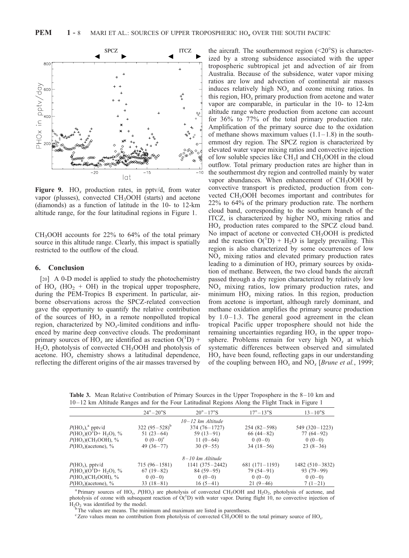

Figure 9.  $HO_x$  production rates, in pptv/d, from water vapor (plusses), convected CH3OOH (starts) and acetone (diamonds) as a function of latitude in the 10- to 12-km altitude range, for the four latitudinal regions in Figure 1.

CH3OOH accounts for 22% to 64% of the total primary source in this altitude range. Clearly, this impact is spatially restricted to the outflow of the cloud.

#### 6. Conclusion

[20] A 0-D model is applied to study the photochemistry of  $HO_x$  (HO<sub>2</sub> + OH) in the tropical upper troposphere, during the PEM-Tropics B experiment. In particular, airborne observations across the SPCZ-related convection gave the opportunity to quantify the relative contribution of the sources of  $HO<sub>x</sub>$  in a remote nonpolluted tropical region, characterized by  $NO_x$ -limited conditions and influenced by marine deep convective clouds. The predominant primary sources of  $\text{HO}_x$  are identified as reaction  $\text{O}(\textsuperscript{1}D)$  + H2O, photolysis of convected CH3OOH and photolysis of acetone.  $HO_x$  chemistry shows a latitudinal dependence, reflecting the different origins of the air masses traversed by

the aircraft. The southernmost region  $(<20°S$ ) is characterized by a strong subsidence associated with the upper tropospheric subtropical jet and advection of air from Australia. Because of the subsidence, water vapor mixing ratios are low and advection of continental air masses induces relatively high  $NO<sub>x</sub>$  and ozone mixing ratios. In this region,  $HO<sub>x</sub>$  primary production from acetone and water vapor are comparable, in particular in the 10- to 12-km altitude range where production from acetone can account for 36% to 77% of the total primary production rate. Amplification of the primary source due to the oxidation of methane shows maximum values  $(1.1-1.8)$  in the southernmost dry region. The SPCZ region is characterized by elevated water vapor mixing ratios and convective injection of low soluble species like  $CH<sub>3</sub>I$  and  $CH<sub>3</sub>OOH$  in the cloud outflow. Total primary production rates are higher than in the southernmost dry region and controlled mainly by water vapor abundances. When enhancement of  $CH<sub>3</sub>OOH$  by convective transport is predicted, production from convected CH3OOH becomes important and contributes for 22% to 64% of the primary production rate. The northern cloud band, corresponding to the southern branch of the ITCZ, is characterized by higher  $NO<sub>x</sub>$  mixing ratios and  $HO_x$  production rates compared to the SPCZ cloud band. No impact of acetone or convected CH<sub>3</sub>OOH is predicted and the reaction  $O(^1D) + H_2O$  is largely prevailing. This region is also characterized by some occurrences of low  $NO<sub>x</sub>$  mixing ratios and elevated primary production rates leading to a diminution of  $HO_x$  primary sources by oxidation of methane. Between, the two cloud bands the aircraft passed through a dry region characterized by relatively low  $NO<sub>x</sub>$  mixing ratios, low primary production rates, and minimum  $HO_x$  mixing ratios. In this region, production from acetone is important, although rarely dominant, and methane oxidation amplifies the primary source production by  $1.0 - 1.3$ . The general good agreement in the clean tropical Pacific upper troposphere should not hide the remaining uncertainties regarding  $HO_x$  in the upper troposphere. Problems remain for very high  $NO<sub>x</sub>$  at which systematic differences between observed and simulated  $HO<sub>x</sub>$  have been found, reflecting gaps in our understanding of the coupling between  $HO_x$  and  $NO_x$  [Brune et al., 1999;

**Table 3.** Mean Relative Contribution of Primary Sources in the Upper Troposphere in the  $8-10$  km and 10 – 12 km Altitude Ranges and for the Four Latitudinal Regions Along the Flight Track in Figure 1

|                                                      | $24^\circ - 20^\circ$ S | $20^{\circ} - 17^{\circ}$ S | $17^\circ - 13^\circ S$ | $13 - 10^{\circ}$ S |
|------------------------------------------------------|-------------------------|-----------------------------|-------------------------|---------------------|
|                                                      |                         | $10 - 12$ km Altitude       |                         |                     |
| $P(\text{HO}_x)$ <sup>a</sup> pptv/d                 | 322 $(95-528)^b$        | $374(76 - 1727)$            | $254(82-598)$           | $549(320-1223)$     |
| $P(HO_x)(O1D+H_2O)$ , %                              | 51 $(23-64)$            | $59(13-91)$                 | $66(44-82)$             | $77(64-92)$         |
| $P(HO_x)$ (CH <sub>3</sub> OOH), %                   | $0(0-0)^{c}$            | 11 $(0-64)$                 | $0(0-0)$                | $0(0-0)$            |
| $P(\text{HO}_x)$ (acetone), %                        | 49 $(36-77)$            | $30(9-55)$                  | $34(18-56)$             | $23(8-36)$          |
|                                                      |                         | 8–10 km Altitude            |                         |                     |
| $P(\text{HO}_r)$ , pptv/d                            | $715(96 - 1581)$        | $1141(375 - 2442)$          | $681(171-1193)$         | 1482 (510 – 3832)   |
| $P(HO_r)(O1D+H2O),$ %                                | $67(19-82)$             | $84(59-95)$                 | $79(54-91)$             | $93(79-99)$         |
| $P(\text{HO}_x)(\text{CH}_3\text{OOH}), \frac{9}{6}$ | $0(0-0)$                | $0(0-0)$                    | $0(0-0)$                | $0(0-0)$            |
| $P(\text{HO}_x)$ (acetone), %                        | $33(18-81)$             | $16(5-41)$                  | $21(9-46)$              | $7(1-21)$           |

<sup>a</sup> Primary sources of HO<sub>x</sub>,  $P(HO_x)$  are photolysis of convected CH<sub>3</sub>OOH and H<sub>2</sub>O<sub>2</sub>, photolysis of acetone, and photolysis of ozone with subsequent reaction of  $O(^1D)$  with water vapor. During flight  $10$ , no convective injection of  $H_2O_2$  was identified by the model.<br><sup>b</sup>The values are means. The minimum and maximum are listed in parentheses.

<sup>c</sup> Zero values mean no contribution from photolysis of convected CH<sub>3</sub>OOH to the total primary source of HO<sub>x</sub>.